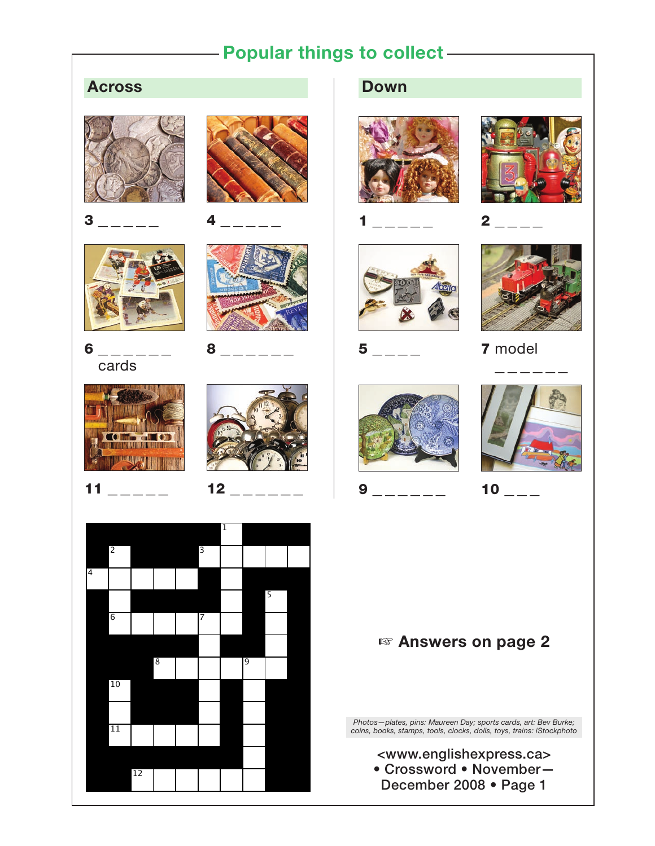## **Popular things to collect**

## **Across**





3 \_ \_ \_ \_ \_ 4 \_ \_ \_ \_ \_







8 \_\_\_\_\_\_



 $11$   $12$ 





## **Down**













**5**  $\overline{7}$  model









<www.englishexpress.ca> • Crossword • November— December 2008 • Page 1